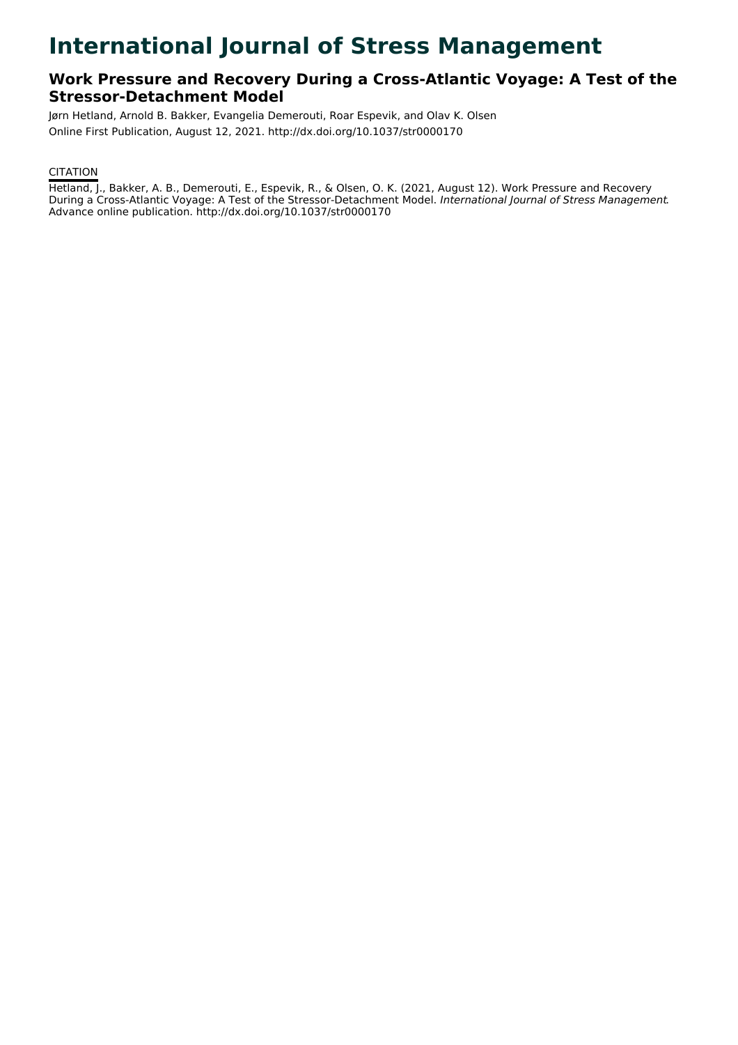# **International Journal of Stress Management**

# **Work Pressure and Recovery During a Cross-Atlantic Voyage: A Test of the Stressor-Detachment Model**

Jørn Hetland, Arnold B. Bakker, Evangelia Demerouti, Roar Espevik, and Olav K. Olsen Online First Publication, August 12, 2021. http://dx.doi.org/10.1037/str0000170

# **CITATION**

Hetland, J., Bakker, A. B., Demerouti, E., Espevik, R., & Olsen, O. K. (2021, August 12). Work Pressure and Recovery During a Cross-Atlantic Voyage: A Test of the Stressor-Detachment Model. International Journal of Stress Management. Advance online publication. http://dx.doi.org/10.1037/str0000170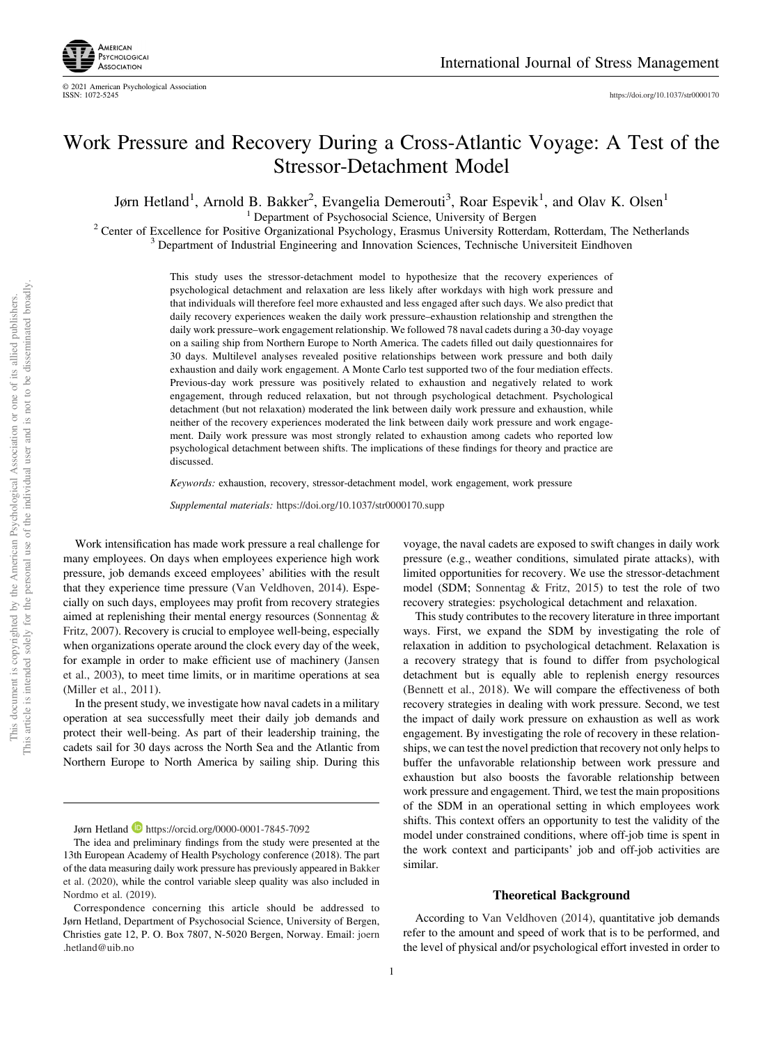

# Work Pressure and Recovery During a Cross-Atlantic Voyage: A Test of the Stressor-Detachment Model

Jørn Hetland<sup>1</sup>, Arnold B. Bakker<sup>2</sup>, Evangelia Demerouti<sup>3</sup>, Roar Espevik<sup>1</sup>, and Olav K. Olsen<sup>1</sup>

<sup>1</sup> Department of Psychosocial Science, University of Bergen<br><sup>2</sup> Center of Excellence for Positive Organizational Psychology, Erasmus University Rotterdam, Rotterdam, The Netherlands<br><sup>3</sup> Department of Industrial Engineeri

This study uses the stressor-detachment model to hypothesize that the recovery experiences of psychological detachment and relaxation are less likely after workdays with high work pressure and that individuals will therefore feel more exhausted and less engaged after such days. We also predict that daily recovery experiences weaken the daily work pressure–exhaustion relationship and strengthen the daily work pressure–work engagement relationship. We followed 78 naval cadets during a 30-day voyage on a sailing ship from Northern Europe to North America. The cadets filled out daily questionnaires for 30 days. Multilevel analyses revealed positive relationships between work pressure and both daily exhaustion and daily work engagement. A Monte Carlo test supported two of the four mediation effects. Previous-day work pressure was positively related to exhaustion and negatively related to work engagement, through reduced relaxation, but not through psychological detachment. Psychological detachment (but not relaxation) moderated the link between daily work pressure and exhaustion, while neither of the recovery experiences moderated the link between daily work pressure and work engagement. Daily work pressure was most strongly related to exhaustion among cadets who reported low psychological detachment between shifts. The implications of these findings for theory and practice are discussed.

Keywords: exhaustion, recovery, stressor-detachment model, work engagement, work pressure

Supplemental materials: <https://doi.org/10.1037/str0000170.supp>

Work intensification has made work pressure a real challenge for many employees. On days when employees experience high work pressure, job demands exceed employees' abilities with the result that they experience time pressure (Van Veldhoven, 2014). Especially on such days, employees may profit from recovery strategies aimed at replenishing their mental energy resources (Sonnentag & Fritz, 2007). Recovery is crucial to employee well-being, especially when organizations operate around the clock every day of the week, for example in order to make efficient use of machinery (Jansen et al., 2003), to meet time limits, or in maritime operations at sea (Miller et al., 2011).

In the present study, we investigate how naval cadets in a military operation at sea successfully meet their daily job demands and protect their well-being. As part of their leadership training, the cadets sail for 30 days across the North Sea and the Atlantic from Northern Europe to North America by sailing ship. During this

voyage, the naval cadets are exposed to swift changes in daily work pressure (e.g., weather conditions, simulated pirate attacks), with limited opportunities for recovery. We use the stressor-detachment model (SDM; Sonnentag & Fritz, 2015) to test the role of two recovery strategies: psychological detachment and relaxation.

This study contributes to the recovery literature in three important ways. First, we expand the SDM by investigating the role of relaxation in addition to psychological detachment. Relaxation is a recovery strategy that is found to differ from psychological detachment but is equally able to replenish energy resources (Bennett et al., 2018). We will compare the effectiveness of both recovery strategies in dealing with work pressure. Second, we test the impact of daily work pressure on exhaustion as well as work engagement. By investigating the role of recovery in these relationships, we can test the novel prediction that recovery not only helps to buffer the unfavorable relationship between work pressure and exhaustion but also boosts the favorable relationship between work pressure and engagement. Third, we test the main propositions of the SDM in an operational setting in which employees work shifts. This context offers an opportunity to test the validity of the model under constrained conditions, where off-job time is spent in the work context and participants' job and off-job activities are similar.

#### Theoretical Background

According to Van Veldhoven (2014), quantitative job demands refer to the amount and speed of work that is to be performed, and the level of physical and/or psychological effort invested in order to

Jørn Hetland **D** <https://orcid.org/0000-0001-7845-7092>

The idea and preliminary findings from the study were presented at the 13th European Academy of Health Psychology conference (2018). The part of the data measuring daily work pressure has previously appeared in Bakker et al. (2020), while the control variable sleep quality was also included in Nordmo et al. (2019).

Correspondence concerning this article should be addressed to Jørn Hetland, Department of Psychosocial Science, University of Bergen, Christies gate 12, P. O. Box 7807, N-5020 Bergen, Norway. Email: [joern](mailto:joern.hetland@uib.no) [.hetland@uib.no](mailto:joern.hetland@uib.no)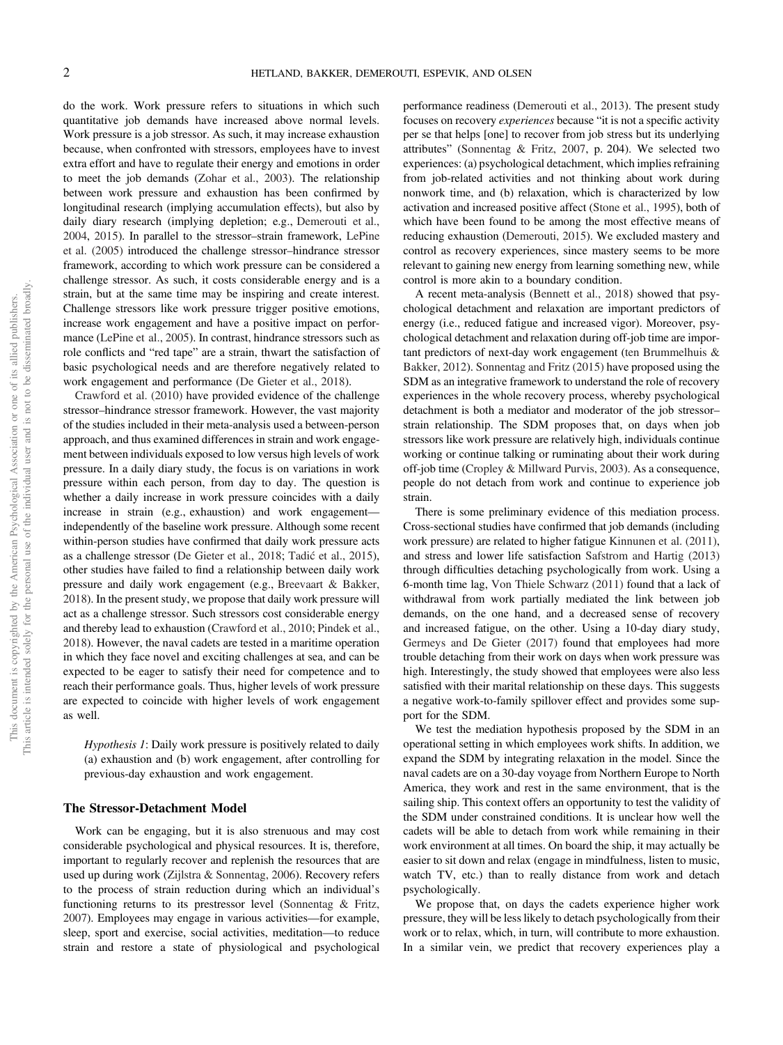do the work. Work pressure refers to situations in which such quantitative job demands have increased above normal levels. Work pressure is a job stressor. As such, it may increase exhaustion because, when confronted with stressors, employees have to invest extra effort and have to regulate their energy and emotions in order to meet the job demands (Zohar et al., 2003). The relationship between work pressure and exhaustion has been confirmed by longitudinal research (implying accumulation effects), but also by daily diary research (implying depletion; e.g., Demerouti et al., 2004, 2015). In parallel to the stressor–strain framework, LePine et al. (2005) introduced the challenge stressor–hindrance stressor framework, according to which work pressure can be considered a challenge stressor. As such, it costs considerable energy and is a strain, but at the same time may be inspiring and create interest. Challenge stressors like work pressure trigger positive emotions, increase work engagement and have a positive impact on performance (LePine et al., 2005). In contrast, hindrance stressors such as role conflicts and "red tape" are a strain, thwart the satisfaction of basic psychological needs and are therefore negatively related to work engagement and performance (De Gieter et al., 2018).

Crawford et al. (2010) have provided evidence of the challenge stressor–hindrance stressor framework. However, the vast majority of the studies included in their meta-analysis used a between-person approach, and thus examined differences in strain and work engagement between individuals exposed to low versus high levels of work pressure. In a daily diary study, the focus is on variations in work pressure within each person, from day to day. The question is whether a daily increase in work pressure coincides with a daily increase in strain (e.g., exhaustion) and work engagement independently of the baseline work pressure. Although some recent within-person studies have confirmed that daily work pressure acts as a challenge stressor (De Gieter et al., 2018; Tadić et al., 2015), other studies have failed to find a relationship between daily work pressure and daily work engagement (e.g., Breevaart & Bakker, 2018). In the present study, we propose that daily work pressure will act as a challenge stressor. Such stressors cost considerable energy and thereby lead to exhaustion (Crawford et al., 2010; Pindek et al., 2018). However, the naval cadets are tested in a maritime operation in which they face novel and exciting challenges at sea, and can be expected to be eager to satisfy their need for competence and to reach their performance goals. Thus, higher levels of work pressure are expected to coincide with higher levels of work engagement as well.

Hypothesis 1: Daily work pressure is positively related to daily (a) exhaustion and (b) work engagement, after controlling for previous-day exhaustion and work engagement.

#### The Stressor-Detachment Model

Work can be engaging, but it is also strenuous and may cost considerable psychological and physical resources. It is, therefore, important to regularly recover and replenish the resources that are used up during work (Zijlstra & Sonnentag, 2006). Recovery refers to the process of strain reduction during which an individual's functioning returns to its prestressor level (Sonnentag & Fritz, 2007). Employees may engage in various activities—for example, sleep, sport and exercise, social activities, meditation—to reduce strain and restore a state of physiological and psychological

performance readiness (Demerouti et al., 2013). The present study focuses on recovery experiences because "it is not a specific activity per se that helps [one] to recover from job stress but its underlying attributes" (Sonnentag & Fritz, 2007, p. 204). We selected two experiences: (a) psychological detachment, which implies refraining from job-related activities and not thinking about work during nonwork time, and (b) relaxation, which is characterized by low activation and increased positive affect (Stone et al., 1995), both of which have been found to be among the most effective means of reducing exhaustion (Demerouti, 2015). We excluded mastery and control as recovery experiences, since mastery seems to be more relevant to gaining new energy from learning something new, while control is more akin to a boundary condition.

A recent meta-analysis (Bennett et al., 2018) showed that psychological detachment and relaxation are important predictors of energy (i.e., reduced fatigue and increased vigor). Moreover, psychological detachment and relaxation during off-job time are important predictors of next-day work engagement (ten Brummelhuis & Bakker, 2012). Sonnentag and Fritz (2015) have proposed using the SDM as an integrative framework to understand the role of recovery experiences in the whole recovery process, whereby psychological detachment is both a mediator and moderator of the job stressor– strain relationship. The SDM proposes that, on days when job stressors like work pressure are relatively high, individuals continue working or continue talking or ruminating about their work during off-job time (Cropley & Millward Purvis, 2003). As a consequence, people do not detach from work and continue to experience job strain.

There is some preliminary evidence of this mediation process. Cross-sectional studies have confirmed that job demands (including work pressure) are related to higher fatigue Kinnunen et al. (2011), and stress and lower life satisfaction Safstrom and Hartig (2013) through difficulties detaching psychologically from work. Using a 6-month time lag, Von Thiele Schwarz (2011) found that a lack of withdrawal from work partially mediated the link between job demands, on the one hand, and a decreased sense of recovery and increased fatigue, on the other. Using a 10-day diary study, Germeys and De Gieter (2017) found that employees had more trouble detaching from their work on days when work pressure was high. Interestingly, the study showed that employees were also less satisfied with their marital relationship on these days. This suggests a negative work-to-family spillover effect and provides some support for the SDM.

We test the mediation hypothesis proposed by the SDM in an operational setting in which employees work shifts. In addition, we expand the SDM by integrating relaxation in the model. Since the naval cadets are on a 30-day voyage from Northern Europe to North America, they work and rest in the same environment, that is the sailing ship. This context offers an opportunity to test the validity of the SDM under constrained conditions. It is unclear how well the cadets will be able to detach from work while remaining in their work environment at all times. On board the ship, it may actually be easier to sit down and relax (engage in mindfulness, listen to music, watch TV, etc.) than to really distance from work and detach psychologically.

We propose that, on days the cadets experience higher work pressure, they will be less likely to detach psychologically from their work or to relax, which, in turn, will contribute to more exhaustion. In a similar vein, we predict that recovery experiences play a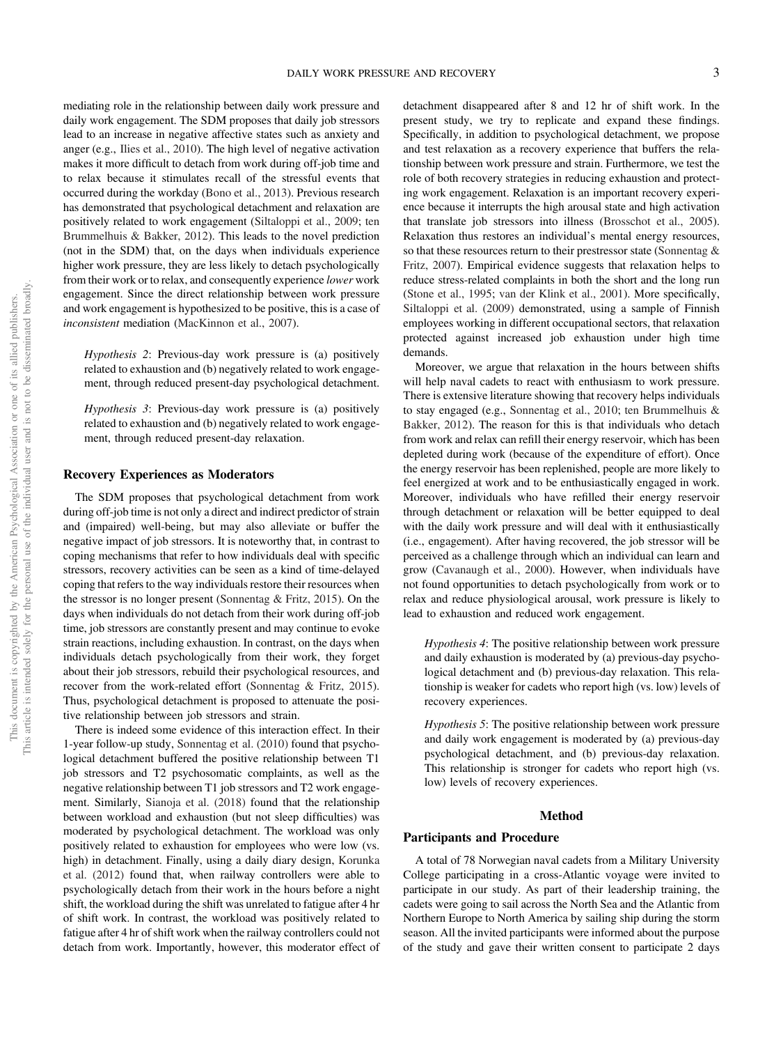mediating role in the relationship between daily work pressure and daily work engagement. The SDM proposes that daily job stressors lead to an increase in negative affective states such as anxiety and anger (e.g., Ilies et al., 2010). The high level of negative activation makes it more difficult to detach from work during off-job time and to relax because it stimulates recall of the stressful events that occurred during the workday (Bono et al., 2013). Previous research has demonstrated that psychological detachment and relaxation are positively related to work engagement (Siltaloppi et al., 2009; ten Brummelhuis & Bakker, 2012). This leads to the novel prediction (not in the SDM) that, on the days when individuals experience higher work pressure, they are less likely to detach psychologically from their work or to relax, and consequently experience lower work engagement. Since the direct relationship between work pressure and work engagement is hypothesized to be positive, this is a case of inconsistent mediation (MacKinnon et al., 2007).

Hypothesis 2: Previous-day work pressure is (a) positively related to exhaustion and (b) negatively related to work engagement, through reduced present-day psychological detachment.

Hypothesis 3: Previous-day work pressure is (a) positively related to exhaustion and (b) negatively related to work engagement, through reduced present-day relaxation.

# Recovery Experiences as Moderators

The SDM proposes that psychological detachment from work during off-job time is not only a direct and indirect predictor of strain and (impaired) well-being, but may also alleviate or buffer the negative impact of job stressors. It is noteworthy that, in contrast to coping mechanisms that refer to how individuals deal with specific stressors, recovery activities can be seen as a kind of time-delayed coping that refers to the way individuals restore their resources when the stressor is no longer present (Sonnentag & Fritz, 2015). On the days when individuals do not detach from their work during off-job time, job stressors are constantly present and may continue to evoke strain reactions, including exhaustion. In contrast, on the days when individuals detach psychologically from their work, they forget about their job stressors, rebuild their psychological resources, and recover from the work-related effort (Sonnentag & Fritz, 2015). Thus, psychological detachment is proposed to attenuate the positive relationship between job stressors and strain.

There is indeed some evidence of this interaction effect. In their 1-year follow-up study, Sonnentag et al. (2010) found that psychological detachment buffered the positive relationship between T1 job stressors and T2 psychosomatic complaints, as well as the negative relationship between T1 job stressors and T2 work engagement. Similarly, Sianoja et al. (2018) found that the relationship between workload and exhaustion (but not sleep difficulties) was moderated by psychological detachment. The workload was only positively related to exhaustion for employees who were low (vs. high) in detachment. Finally, using a daily diary design, Korunka et al. (2012) found that, when railway controllers were able to psychologically detach from their work in the hours before a night shift, the workload during the shift was unrelated to fatigue after 4 hr of shift work. In contrast, the workload was positively related to fatigue after 4 hr of shift work when the railway controllers could not detach from work. Importantly, however, this moderator effect of detachment disappeared after 8 and 12 hr of shift work. In the present study, we try to replicate and expand these findings. Specifically, in addition to psychological detachment, we propose and test relaxation as a recovery experience that buffers the relationship between work pressure and strain. Furthermore, we test the role of both recovery strategies in reducing exhaustion and protecting work engagement. Relaxation is an important recovery experience because it interrupts the high arousal state and high activation that translate job stressors into illness (Brosschot et al., 2005). Relaxation thus restores an individual's mental energy resources, so that these resources return to their prestressor state (Sonnentag & Fritz, 2007). Empirical evidence suggests that relaxation helps to reduce stress-related complaints in both the short and the long run (Stone et al., 1995; van der Klink et al., 2001). More specifically, Siltaloppi et al. (2009) demonstrated, using a sample of Finnish employees working in different occupational sectors, that relaxation protected against increased job exhaustion under high time demands.

Moreover, we argue that relaxation in the hours between shifts will help naval cadets to react with enthusiasm to work pressure. There is extensive literature showing that recovery helps individuals to stay engaged (e.g., Sonnentag et al., 2010; ten Brummelhuis & Bakker, 2012). The reason for this is that individuals who detach from work and relax can refill their energy reservoir, which has been depleted during work (because of the expenditure of effort). Once the energy reservoir has been replenished, people are more likely to feel energized at work and to be enthusiastically engaged in work. Moreover, individuals who have refilled their energy reservoir through detachment or relaxation will be better equipped to deal with the daily work pressure and will deal with it enthusiastically (i.e., engagement). After having recovered, the job stressor will be perceived as a challenge through which an individual can learn and grow (Cavanaugh et al., 2000). However, when individuals have not found opportunities to detach psychologically from work or to relax and reduce physiological arousal, work pressure is likely to lead to exhaustion and reduced work engagement.

Hypothesis 4: The positive relationship between work pressure and daily exhaustion is moderated by (a) previous-day psychological detachment and (b) previous-day relaxation. This relationship is weaker for cadets who report high (vs. low) levels of recovery experiences.

Hypothesis 5: The positive relationship between work pressure and daily work engagement is moderated by (a) previous-day psychological detachment, and (b) previous-day relaxation. This relationship is stronger for cadets who report high (vs. low) levels of recovery experiences.

#### Method

#### Participants and Procedure

A total of 78 Norwegian naval cadets from a Military University College participating in a cross-Atlantic voyage were invited to participate in our study. As part of their leadership training, the cadets were going to sail across the North Sea and the Atlantic from Northern Europe to North America by sailing ship during the storm season. All the invited participants were informed about the purpose of the study and gave their written consent to participate 2 days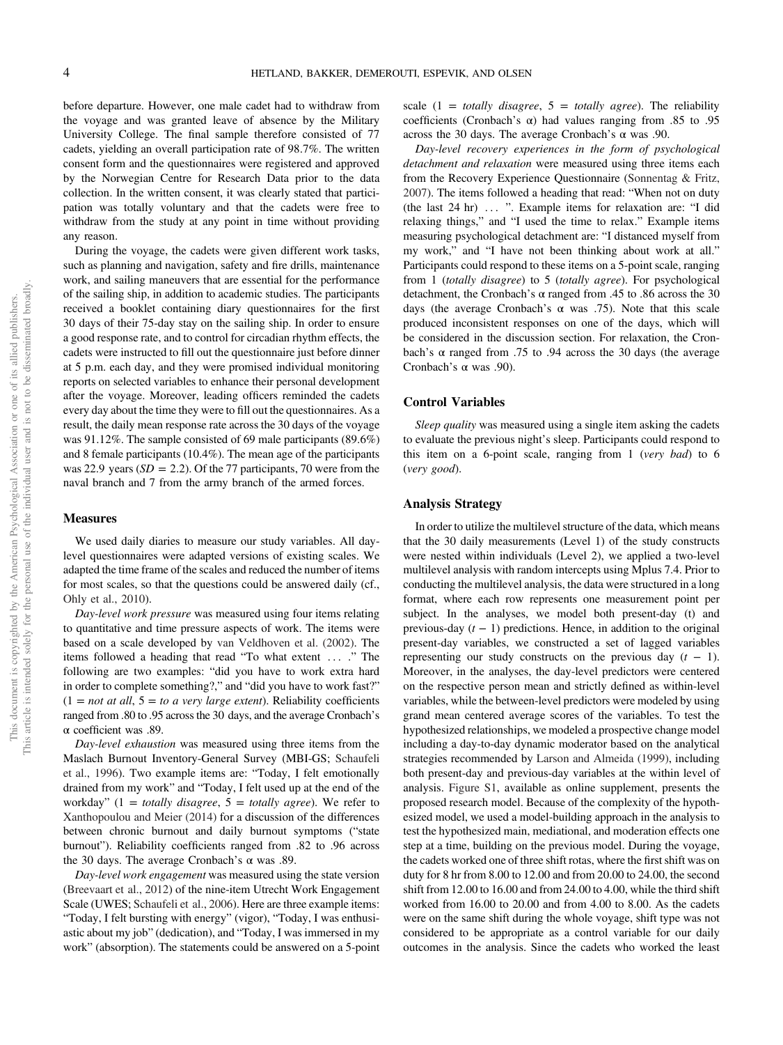before departure. However, one male cadet had to withdraw from the voyage and was granted leave of absence by the Military University College. The final sample therefore consisted of 77 cadets, yielding an overall participation rate of 98.7%. The written consent form and the questionnaires were registered and approved by the Norwegian Centre for Research Data prior to the data collection. In the written consent, it was clearly stated that participation was totally voluntary and that the cadets were free to withdraw from the study at any point in time without providing any reason.

During the voyage, the cadets were given different work tasks, such as planning and navigation, safety and fire drills, maintenance work, and sailing maneuvers that are essential for the performance of the sailing ship, in addition to academic studies. The participants received a booklet containing diary questionnaires for the first 30 days of their 75-day stay on the sailing ship. In order to ensure a good response rate, and to control for circadian rhythm effects, the cadets were instructed to fill out the questionnaire just before dinner at 5 p.m. each day, and they were promised individual monitoring reports on selected variables to enhance their personal development after the voyage. Moreover, leading officers reminded the cadets every day about the time they were to fill out the questionnaires. As a result, the daily mean response rate across the 30 days of the voyage was 91.12%. The sample consisted of 69 male participants (89.6%) and 8 female participants (10.4%). The mean age of the participants was 22.9 years ( $SD = 2.2$ ). Of the 77 participants, 70 were from the naval branch and 7 from the army branch of the armed forces.

#### Measures

We used daily diaries to measure our study variables. All daylevel questionnaires were adapted versions of existing scales. We adapted the time frame of the scales and reduced the number of items for most scales, so that the questions could be answered daily (cf., Ohly et al., 2010).

Day-level work pressure was measured using four items relating to quantitative and time pressure aspects of work. The items were based on a scale developed by van Veldhoven et al. (2002). The items followed a heading that read "To what extent ... ." The following are two examples: "did you have to work extra hard in order to complete something?," and "did you have to work fast?"  $(1 = not at all, 5 = to a very large extent). Reliability coefficients$ ranged from .80 to .95 across the 30 days, and the average Cronbach's α coefficient was .89.

Day-level exhaustion was measured using three items from the Maslach Burnout Inventory-General Survey (MBI-GS; Schaufeli et al., 1996). Two example items are: "Today, I felt emotionally drained from my work" and "Today, I felt used up at the end of the workday" (1 = totally disagree,  $5 =$  totally agree). We refer to Xanthopoulou and Meier (2014) for a discussion of the differences between chronic burnout and daily burnout symptoms ("state burnout"). Reliability coefficients ranged from .82 to .96 across the 30 days. The average Cronbach's α was .89.

Day-level work engagement was measured using the state version (Breevaart et al., 2012) of the nine-item Utrecht Work Engagement Scale (UWES; Schaufeli et al., 2006). Here are three example items: "Today, I felt bursting with energy" (vigor), "Today, I was enthusiastic about my job" (dedication), and "Today, I was immersed in my work" (absorption). The statements could be answered on a 5-point scale  $(1 = totally disagree, 5 = totally agree)$ . The reliability coefficients (Cronbach's  $\alpha$ ) had values ranging from .85 to .95 across the 30 days. The average Cronbach's α was .90.

Day-level recovery experiences in the form of psychological detachment and relaxation were measured using three items each from the Recovery Experience Questionnaire (Sonnentag & Fritz, 2007). The items followed a heading that read: "When not on duty (the last 24 hr) ... ". Example items for relaxation are: "I did relaxing things," and "I used the time to relax." Example items measuring psychological detachment are: "I distanced myself from my work," and "I have not been thinking about work at all." Participants could respond to these items on a 5-point scale, ranging from 1 (totally disagree) to 5 (totally agree). For psychological detachment, the Cronbach's  $\alpha$  ranged from .45 to .86 across the 30 days (the average Cronbach's  $\alpha$  was .75). Note that this scale produced inconsistent responses on one of the days, which will be considered in the discussion section. For relaxation, the Cronbach's α ranged from .75 to .94 across the 30 days (the average Cronbach's  $\alpha$  was .90).

#### Control Variables

Sleep quality was measured using a single item asking the cadets to evaluate the previous night's sleep. Participants could respond to this item on a 6-point scale, ranging from 1 (very bad) to 6 (very good).

#### Analysis Strategy

In order to utilize the multilevel structure of the data, which means that the 30 daily measurements (Level 1) of the study constructs were nested within individuals (Level 2), we applied a two-level multilevel analysis with random intercepts using Mplus 7.4. Prior to conducting the multilevel analysis, the data were structured in a long format, where each row represents one measurement point per subject. In the analyses, we model both present-day (t) and previous-day  $(t - 1)$  predictions. Hence, in addition to the original present-day variables, we constructed a set of lagged variables representing our study constructs on the previous day  $(t - 1)$ . Moreover, in the analyses, the day-level predictors were centered on the respective person mean and strictly defined as within-level variables, while the between-level predictors were modeled by using grand mean centered average scores of the variables. To test the hypothesized relationships, we modeled a prospective change model including a day-to-day dynamic moderator based on the analytical strategies recommended by Larson and Almeida (1999), including both present-day and previous-day variables at the within level of analysis. [Figure S1,](https://doi.org/10.1037/str0000170.supp) available as online supplement, presents the proposed research model. Because of the complexity of the hypothesized model, we used a model-building approach in the analysis to test the hypothesized main, mediational, and moderation effects one step at a time, building on the previous model. During the voyage, the cadets worked one of three shift rotas, where the first shift was on duty for 8 hr from 8.00 to 12.00 and from 20.00 to 24.00, the second shift from 12.00 to 16.00 and from 24.00 to 4.00, while the third shift worked from 16.00 to 20.00 and from 4.00 to 8.00. As the cadets were on the same shift during the whole voyage, shift type was not considered to be appropriate as a control variable for our daily outcomes in the analysis. Since the cadets who worked the least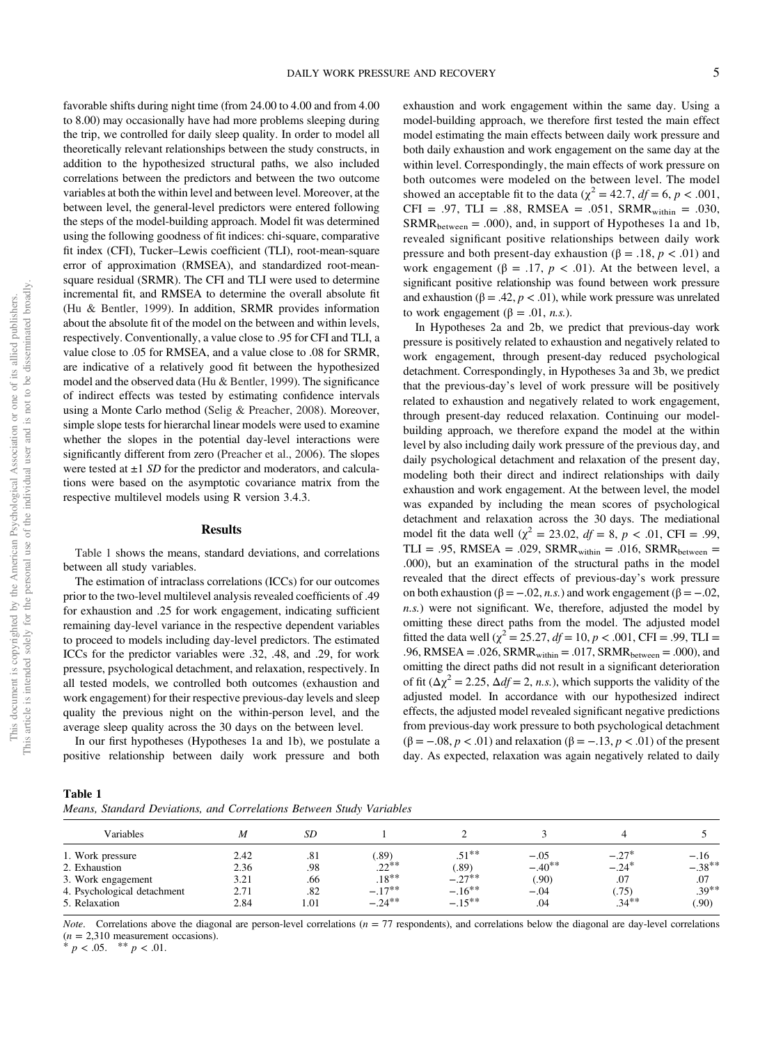This article is intended solely for the personal use of the individual user and is not to be disseminated broadly This article is intended solely for the personal use of the individual user and is not to be disseminated broadly. This document is copyrighted by the American Psychological Association or one of its allied publishers. This document is copyrighted by the American Psychological Association or one of its allied publishers.

favorable shifts during night time (from 24.00 to 4.00 and from 4.00 to 8.00) may occasionally have had more problems sleeping during the trip, we controlled for daily sleep quality. In order to model all theoretically relevant relationships between the study constructs, in addition to the hypothesized structural paths, we also included correlations between the predictors and between the two outcome variables at both the within level and between level. Moreover, at the between level, the general-level predictors were entered following the steps of the model-building approach. Model fit was determined using the following goodness of fit indices: chi-square, comparative fit index (CFI), Tucker–Lewis coefficient (TLI), root-mean-square error of approximation (RMSEA), and standardized root-meansquare residual (SRMR). The CFI and TLI were used to determine incremental fit, and RMSEA to determine the overall absolute fit (Hu & Bentler, 1999). In addition, SRMR provides information about the absolute fit of the model on the between and within levels, respectively. Conventionally, a value close to .95 for CFI and TLI, a value close to .05 for RMSEA, and a value close to .08 for SRMR, are indicative of a relatively good fit between the hypothesized model and the observed data (Hu & Bentler, 1999). The significance of indirect effects was tested by estimating confidence intervals using a Monte Carlo method (Selig & Preacher, 2008). Moreover, simple slope tests for hierarchal linear models were used to examine whether the slopes in the potential day-level interactions were significantly different from zero (Preacher et al., 2006). The slopes were tested at  $\pm 1$  SD for the predictor and moderators, and calculations were based on the asymptotic covariance matrix from the respective multilevel models using R version 3.4.3.

# **Results**

Table 1 shows the means, standard deviations, and correlations between all study variables.

The estimation of intraclass correlations (ICCs) for our outcomes prior to the two-level multilevel analysis revealed coefficients of .49 for exhaustion and .25 for work engagement, indicating sufficient remaining day-level variance in the respective dependent variables to proceed to models including day-level predictors. The estimated ICCs for the predictor variables were .32, .48, and .29, for work pressure, psychological detachment, and relaxation, respectively. In all tested models, we controlled both outcomes (exhaustion and work engagement) for their respective previous-day levels and sleep quality the previous night on the within-person level, and the average sleep quality across the 30 days on the between level.

In our first hypotheses (Hypotheses 1a and 1b), we postulate a positive relationship between daily work pressure and both exhaustion and work engagement within the same day. Using a model-building approach, we therefore first tested the main effect model estimating the main effects between daily work pressure and both daily exhaustion and work engagement on the same day at the within level. Correspondingly, the main effects of work pressure on both outcomes were modeled on the between level. The model showed an acceptable fit to the data ( $\chi^2 = 42.7$ ,  $df = 6$ ,  $p < .001$ , CFI = .97, TLI = .88, RMSEA = .051, SRMR<sub>within</sub> = .030,  $SRMR<sub>between</sub> = .000$ , and, in support of Hypotheses 1a and 1b, revealed significant positive relationships between daily work pressure and both present-day exhaustion (β = .18,  $p < .01$ ) and work engagement ( $\beta = .17$ ,  $p < .01$ ). At the between level, a significant positive relationship was found between work pressure and exhaustion ( $\beta = .42$ ,  $p < .01$ ), while work pressure was unrelated to work engagement (β = .01, *n.s.*).

In Hypotheses 2a and 2b, we predict that previous-day work pressure is positively related to exhaustion and negatively related to work engagement, through present-day reduced psychological detachment. Correspondingly, in Hypotheses 3a and 3b, we predict that the previous-day's level of work pressure will be positively related to exhaustion and negatively related to work engagement, through present-day reduced relaxation. Continuing our modelbuilding approach, we therefore expand the model at the within level by also including daily work pressure of the previous day, and daily psychological detachment and relaxation of the present day, modeling both their direct and indirect relationships with daily exhaustion and work engagement. At the between level, the model was expanded by including the mean scores of psychological detachment and relaxation across the 30 days. The mediational model fit the data well ( $\chi^2 = 23.02$ ,  $df = 8$ ,  $p < .01$ , CFI = .99, TLI = .95, RMSEA = .029, SRMR<sub>within</sub> = .016, SRMR<sub>between</sub> = .000), but an examination of the structural paths in the model revealed that the direct effects of previous-day's work pressure on both exhaustion ( $β = -.02, n.s$ .) and work engagement ( $β = -.02,$ n.s.) were not significant. We, therefore, adjusted the model by omitting these direct paths from the model. The adjusted model fitted the data well ( $\chi^2 = 25.27$ ,  $df = 10$ ,  $p < .001$ , CFI = .99, TLI = .96, RMSEA = .026, SRMR<sub>within</sub> = .017, SRMR<sub>between</sub> = .000), and omitting the direct paths did not result in a significant deterioration of fit ( $\Delta \chi^2 = 2.25$ ,  $\Delta df = 2$ , *n.s.*), which supports the validity of the adjusted model. In accordance with our hypothesized indirect effects, the adjusted model revealed significant negative predictions from previous-day work pressure to both psychological detachment  $(\beta = -.08, p < .01)$  and relaxation  $(\beta = -.13, p < .01)$  of the present day. As expected, relaxation was again negatively related to daily

Table 1 Means, Standard Deviations, and Correlations Between Study Variables

| Variables                   |      | SD   |               |           |          |          |          |
|-----------------------------|------|------|---------------|-----------|----------|----------|----------|
|                             | M    |      |               |           |          |          |          |
| 1. Work pressure            | 2.42 | .81  | $.89^{\circ}$ | $.51***$  | $-.05$   | $-27*$   | $-.16$   |
| 2. Exhaustion               | 2.36 | .98  | $.22***$      | (89)      | $-.40**$ | $-.24*$  | $-.38**$ |
| 3. Work engagement          | 3.21 | .66  | $.18***$      | $-.27***$ | (.90)    | .07      | .07      |
| 4. Psychological detachment | 2.71 | .82  | $-.17***$     | $-.16***$ | $-.04$   | (.75)    | $.39***$ |
| 5. Relaxation               | 2.84 | 1.01 | $-.24***$     | $-.15***$ | .04      | $.34***$ | (.90)    |

*Note.* Correlations above the diagonal are person-level correlations  $(n = 77$  respondents), and correlations below the diagonal are day-level correlations ( $n = 2,310$  measurement occasions).<br>\*  $p < .05$ . \* \*  $p < .01$ .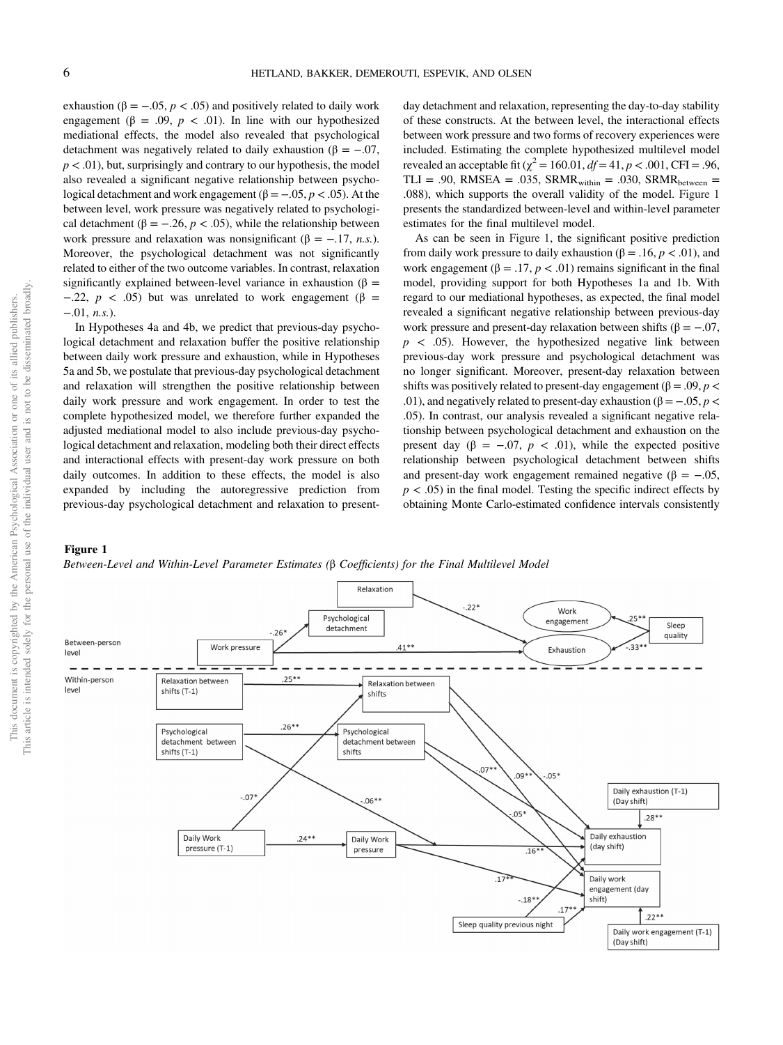<span id="page-6-0"></span>exhaustion ( $\beta = -.05, p < .05$ ) and positively related to daily work engagement ( $\beta = .09$ ,  $p < .01$ ). In line with our hypothesized mediational effects, the model also revealed that psychological detachment was negatively related to daily exhaustion ( $\beta = -.07$ ,  $p < .01$ ), but, surprisingly and contrary to our hypothesis, the model also revealed a significant negative relationship between psychological detachment and work engagement ( $β = -.05, p < .05$ ). At the between level, work pressure was negatively related to psychological detachment ( $\beta = -.26, p < .05$ ), while the relationship between work pressure and relaxation was nonsignificant ( $\beta = -.17, n.s$ .). Moreover, the psychological detachment was not significantly related to either of the two outcome variables. In contrast, relaxation significantly explained between-level variance in exhaustion ( $\beta$  =  $-0.22$ ,  $p < 0.05$ ) but was unrelated to work engagement (β =  $-0.01$ , *n.s.*).

In Hypotheses 4a and 4b, we predict that previous-day psychological detachment and relaxation buffer the positive relationship between daily work pressure and exhaustion, while in Hypotheses 5a and 5b, we postulate that previous-day psychological detachment and relaxation will strengthen the positive relationship between daily work pressure and work engagement. In order to test the complete hypothesized model, we therefore further expanded the adjusted mediational model to also include previous-day psychological detachment and relaxation, modeling both their direct effects and interactional effects with present-day work pressure on both daily outcomes. In addition to these effects, the model is also expanded by including the autoregressive prediction from previous-day psychological detachment and relaxation to presentday detachment and relaxation, representing the day-to-day stability of these constructs. At the between level, the interactional effects between work pressure and two forms of recovery experiences were included. Estimating the complete hypothesized multilevel model revealed an acceptable fit ( $\chi^2$  = 160.01, *df* = 41, *p* < .001, CFI = .96, TLI = .90, RMSEA = .035, SRMR<sub>within</sub> = .030, SRMR<sub>between</sub> = .088), which supports the overall validity of the model. Figure 1 presents the standardized between-level and within-level parameter estimates for the final multilevel model.

As can be seen in Figure 1, the significant positive prediction from daily work pressure to daily exhaustion (β = .16,  $p < .01$ ), and work engagement ( $\beta = .17$ ,  $p < .01$ ) remains significant in the final model, providing support for both Hypotheses 1a and 1b. With regard to our mediational hypotheses, as expected, the final model revealed a significant negative relationship between previous-day work pressure and present-day relaxation between shifts ( $\beta = -.07$ ,  $p \leq 0.05$ ). However, the hypothesized negative link between previous-day work pressure and psychological detachment was no longer significant. Moreover, present-day relaxation between shifts was positively related to present-day engagement (β = .09,  $p$  < .01), and negatively related to present-day exhaustion ( $\beta = -.05$ ,  $p <$ .05). In contrast, our analysis revealed a significant negative relationship between psychological detachment and exhaustion on the present day ( $\beta = -.07, p < .01$ ), while the expected positive relationship between psychological detachment between shifts and present-day work engagement remained negative ( $β = -.05$ ,  $p < .05$ ) in the final model. Testing the specific indirect effects by obtaining Monte Carlo-estimated confidence intervals consistently

# Figure 1

Between-Level and Within-Level Parameter Estimates (β Coefficients) for the Final Multilevel Model

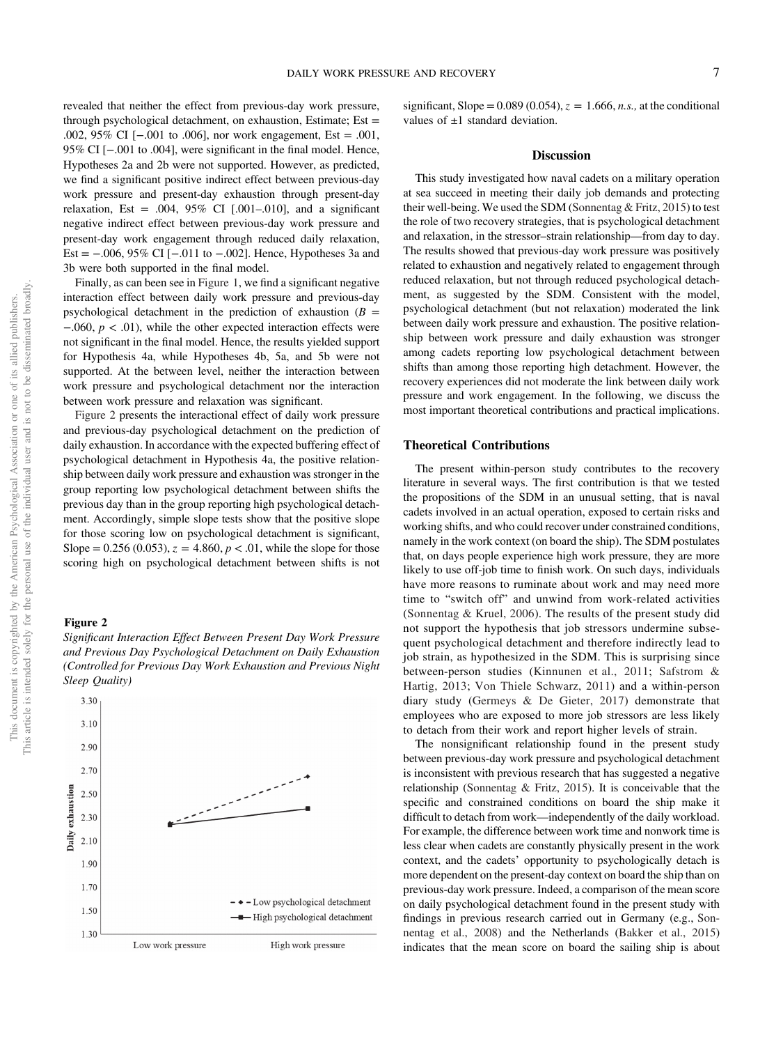revealed that neither the effect from previous-day work pressure, through psychological detachment, on exhaustion, Estimate; Est = .002, 95% CI [−.001 to .006], nor work engagement, Est = .001, 95% CI [−.001 to .004], were significant in the final model. Hence, Hypotheses 2a and 2b were not supported. However, as predicted, we find a significant positive indirect effect between previous-day work pressure and present-day exhaustion through present-day relaxation, Est = .004,  $95\%$  CI [.001-.010], and a significant negative indirect effect between previous-day work pressure and present-day work engagement through reduced daily relaxation, Est = −.006, 95% CI [−.011 to −.002]. Hence, Hypotheses 3a and 3b were both supported in the final model.

Finally, as can been see in [Figure 1](#page-6-0), we find a significant negative interaction effect between daily work pressure and previous-day psychological detachment in the prediction of exhaustion  $(B =$  $-0.060, p < 0.01$ , while the other expected interaction effects were not significant in the final model. Hence, the results yielded support for Hypothesis 4a, while Hypotheses 4b, 5a, and 5b were not supported. At the between level, neither the interaction between work pressure and psychological detachment nor the interaction between work pressure and relaxation was significant.

Figure 2 presents the interactional effect of daily work pressure and previous-day psychological detachment on the prediction of daily exhaustion. In accordance with the expected buffering effect of psychological detachment in Hypothesis 4a, the positive relationship between daily work pressure and exhaustion was stronger in the group reporting low psychological detachment between shifts the previous day than in the group reporting high psychological detachment. Accordingly, simple slope tests show that the positive slope for those scoring low on psychological detachment is significant, Slope = 0.256 (0.053),  $z = 4.860$ ,  $p < 0.01$ , while the slope for those scoring high on psychological detachment between shifts is not

#### Figure 2



3.30  $3.10$  $2.90$ 2.70 Daily exhaustion 2.50 2.30 2.10 1.90  $1.70$ - + - Low psychological detachment 1.50 - High psychological detachment 1.30 Low work pressure High work pressure

significant, Slope =  $0.089(0.054)$ ,  $z = 1.666$ , *n.s.*, at the conditional values of  $\pm 1$  standard deviation.

#### Discussion

This study investigated how naval cadets on a military operation at sea succeed in meeting their daily job demands and protecting their well-being. We used the SDM (Sonnentag & Fritz, 2015) to test the role of two recovery strategies, that is psychological detachment and relaxation, in the stressor–strain relationship—from day to day. The results showed that previous-day work pressure was positively related to exhaustion and negatively related to engagement through reduced relaxation, but not through reduced psychological detachment, as suggested by the SDM. Consistent with the model, psychological detachment (but not relaxation) moderated the link between daily work pressure and exhaustion. The positive relationship between work pressure and daily exhaustion was stronger among cadets reporting low psychological detachment between shifts than among those reporting high detachment. However, the recovery experiences did not moderate the link between daily work pressure and work engagement. In the following, we discuss the most important theoretical contributions and practical implications.

#### Theoretical Contributions

The present within-person study contributes to the recovery literature in several ways. The first contribution is that we tested the propositions of the SDM in an unusual setting, that is naval cadets involved in an actual operation, exposed to certain risks and working shifts, and who could recover under constrained conditions, namely in the work context (on board the ship). The SDM postulates that, on days people experience high work pressure, they are more likely to use off-job time to finish work. On such days, individuals have more reasons to ruminate about work and may need more time to "switch off" and unwind from work-related activities (Sonnentag & Kruel, 2006). The results of the present study did not support the hypothesis that job stressors undermine subsequent psychological detachment and therefore indirectly lead to job strain, as hypothesized in the SDM. This is surprising since between-person studies (Kinnunen et al., 2011; Safstrom & Hartig, 2013; Von Thiele Schwarz, 2011) and a within-person diary study (Germeys & De Gieter, 2017) demonstrate that employees who are exposed to more job stressors are less likely to detach from their work and report higher levels of strain.

The nonsignificant relationship found in the present study between previous-day work pressure and psychological detachment is inconsistent with previous research that has suggested a negative relationship (Sonnentag & Fritz, 2015). It is conceivable that the specific and constrained conditions on board the ship make it difficult to detach from work—independently of the daily workload. For example, the difference between work time and nonwork time is less clear when cadets are constantly physically present in the work context, and the cadets' opportunity to psychologically detach is more dependent on the present-day context on board the ship than on previous-day work pressure. Indeed, a comparison of the mean score on daily psychological detachment found in the present study with findings in previous research carried out in Germany (e.g., Sonnentag et al., 2008) and the Netherlands (Bakker et al., 2015) indicates that the mean score on board the sailing ship is about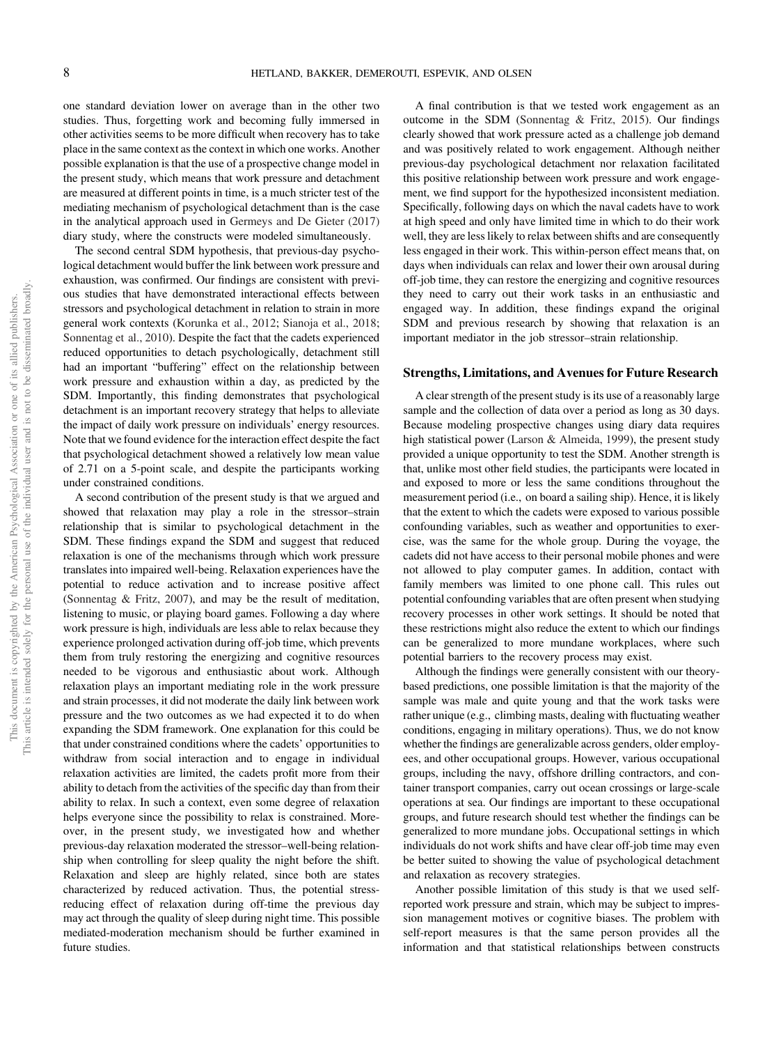one standard deviation lower on average than in the other two studies. Thus, forgetting work and becoming fully immersed in other activities seems to be more difficult when recovery has to take place in the same context as the context in which one works. Another possible explanation is that the use of a prospective change model in the present study, which means that work pressure and detachment are measured at different points in time, is a much stricter test of the mediating mechanism of psychological detachment than is the case in the analytical approach used in Germeys and De Gieter (2017) diary study, where the constructs were modeled simultaneously.

The second central SDM hypothesis, that previous-day psychological detachment would buffer the link between work pressure and exhaustion, was confirmed. Our findings are consistent with previous studies that have demonstrated interactional effects between stressors and psychological detachment in relation to strain in more general work contexts (Korunka et al., 2012; Sianoja et al., 2018; Sonnentag et al., 2010). Despite the fact that the cadets experienced reduced opportunities to detach psychologically, detachment still had an important "buffering" effect on the relationship between work pressure and exhaustion within a day, as predicted by the SDM. Importantly, this finding demonstrates that psychological detachment is an important recovery strategy that helps to alleviate the impact of daily work pressure on individuals' energy resources. Note that we found evidence for the interaction effect despite the fact that psychological detachment showed a relatively low mean value of 2.71 on a 5-point scale, and despite the participants working under constrained conditions.

A second contribution of the present study is that we argued and showed that relaxation may play a role in the stressor–strain relationship that is similar to psychological detachment in the SDM. These findings expand the SDM and suggest that reduced relaxation is one of the mechanisms through which work pressure translates into impaired well-being. Relaxation experiences have the potential to reduce activation and to increase positive affect (Sonnentag & Fritz, 2007), and may be the result of meditation, listening to music, or playing board games. Following a day where work pressure is high, individuals are less able to relax because they experience prolonged activation during off-job time, which prevents them from truly restoring the energizing and cognitive resources needed to be vigorous and enthusiastic about work. Although relaxation plays an important mediating role in the work pressure and strain processes, it did not moderate the daily link between work pressure and the two outcomes as we had expected it to do when expanding the SDM framework. One explanation for this could be that under constrained conditions where the cadets' opportunities to withdraw from social interaction and to engage in individual relaxation activities are limited, the cadets profit more from their ability to detach from the activities of the specific day than from their ability to relax. In such a context, even some degree of relaxation helps everyone since the possibility to relax is constrained. Moreover, in the present study, we investigated how and whether previous-day relaxation moderated the stressor–well-being relationship when controlling for sleep quality the night before the shift. Relaxation and sleep are highly related, since both are states characterized by reduced activation. Thus, the potential stressreducing effect of relaxation during off-time the previous day may act through the quality of sleep during night time. This possible mediated-moderation mechanism should be further examined in future studies.

A final contribution is that we tested work engagement as an outcome in the SDM (Sonnentag & Fritz, 2015). Our findings clearly showed that work pressure acted as a challenge job demand and was positively related to work engagement. Although neither previous-day psychological detachment nor relaxation facilitated this positive relationship between work pressure and work engagement, we find support for the hypothesized inconsistent mediation. Specifically, following days on which the naval cadets have to work at high speed and only have limited time in which to do their work well, they are less likely to relax between shifts and are consequently less engaged in their work. This within-person effect means that, on days when individuals can relax and lower their own arousal during off-job time, they can restore the energizing and cognitive resources they need to carry out their work tasks in an enthusiastic and engaged way. In addition, these findings expand the original SDM and previous research by showing that relaxation is an important mediator in the job stressor–strain relationship.

## Strengths, Limitations, and Avenues for Future Research

A clear strength of the present study is its use of a reasonably large sample and the collection of data over a period as long as 30 days. Because modeling prospective changes using diary data requires high statistical power (Larson & Almeida, 1999), the present study provided a unique opportunity to test the SDM. Another strength is that, unlike most other field studies, the participants were located in and exposed to more or less the same conditions throughout the measurement period (i.e., on board a sailing ship). Hence, it is likely that the extent to which the cadets were exposed to various possible confounding variables, such as weather and opportunities to exercise, was the same for the whole group. During the voyage, the cadets did not have access to their personal mobile phones and were not allowed to play computer games. In addition, contact with family members was limited to one phone call. This rules out potential confounding variables that are often present when studying recovery processes in other work settings. It should be noted that these restrictions might also reduce the extent to which our findings can be generalized to more mundane workplaces, where such potential barriers to the recovery process may exist.

Although the findings were generally consistent with our theorybased predictions, one possible limitation is that the majority of the sample was male and quite young and that the work tasks were rather unique (e.g., climbing masts, dealing with fluctuating weather conditions, engaging in military operations). Thus, we do not know whether the findings are generalizable across genders, older employees, and other occupational groups. However, various occupational groups, including the navy, offshore drilling contractors, and container transport companies, carry out ocean crossings or large-scale operations at sea. Our findings are important to these occupational groups, and future research should test whether the findings can be generalized to more mundane jobs. Occupational settings in which individuals do not work shifts and have clear off-job time may even be better suited to showing the value of psychological detachment and relaxation as recovery strategies.

Another possible limitation of this study is that we used selfreported work pressure and strain, which may be subject to impression management motives or cognitive biases. The problem with self-report measures is that the same person provides all the information and that statistical relationships between constructs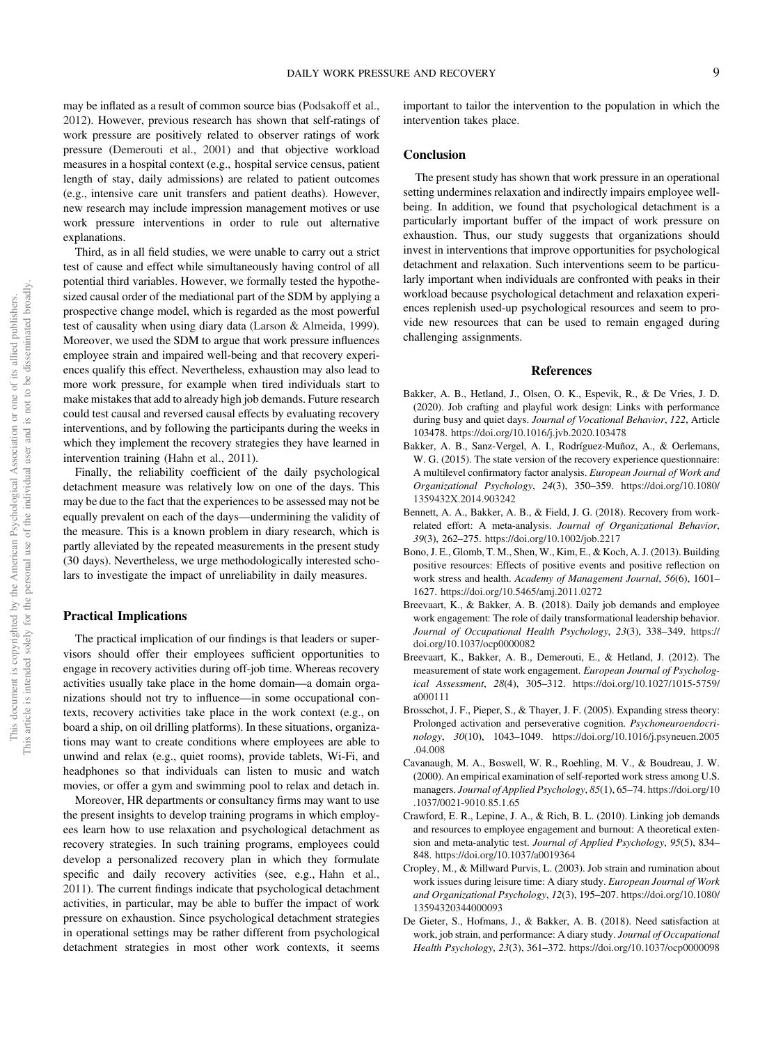may be inflated as a result of common source bias (Podsakoff et al., 2012). However, previous research has shown that self-ratings of work pressure are positively related to observer ratings of work pressure (Demerouti et al., 2001) and that objective workload measures in a hospital context (e.g., hospital service census, patient length of stay, daily admissions) are related to patient outcomes (e.g., intensive care unit transfers and patient deaths). However, new research may include impression management motives or use work pressure interventions in order to rule out alternative explanations.

Third, as in all field studies, we were unable to carry out a strict test of cause and effect while simultaneously having control of all potential third variables. However, we formally tested the hypothesized causal order of the mediational part of the SDM by applying a prospective change model, which is regarded as the most powerful test of causality when using diary data (Larson & Almeida, 1999). Moreover, we used the SDM to argue that work pressure influences employee strain and impaired well-being and that recovery experiences qualify this effect. Nevertheless, exhaustion may also lead to more work pressure, for example when tired individuals start to make mistakes that add to already high job demands. Future research could test causal and reversed causal effects by evaluating recovery interventions, and by following the participants during the weeks in which they implement the recovery strategies they have learned in intervention training (Hahn et al., 2011).

Finally, the reliability coefficient of the daily psychological detachment measure was relatively low on one of the days. This may be due to the fact that the experiences to be assessed may not be equally prevalent on each of the days—undermining the validity of the measure. This is a known problem in diary research, which is partly alleviated by the repeated measurements in the present study (30 days). Nevertheless, we urge methodologically interested scholars to investigate the impact of unreliability in daily measures.

# Practical Implications

The practical implication of our findings is that leaders or supervisors should offer their employees sufficient opportunities to engage in recovery activities during off-job time. Whereas recovery activities usually take place in the home domain—a domain organizations should not try to influence—in some occupational contexts, recovery activities take place in the work context (e.g., on board a ship, on oil drilling platforms). In these situations, organizations may want to create conditions where employees are able to unwind and relax (e.g., quiet rooms), provide tablets, Wi-Fi, and headphones so that individuals can listen to music and watch movies, or offer a gym and swimming pool to relax and detach in.

Moreover, HR departments or consultancy firms may want to use the present insights to develop training programs in which employees learn how to use relaxation and psychological detachment as recovery strategies. In such training programs, employees could develop a personalized recovery plan in which they formulate specific and daily recovery activities (see, e.g., Hahn et al., 2011). The current findings indicate that psychological detachment activities, in particular, may be able to buffer the impact of work pressure on exhaustion. Since psychological detachment strategies in operational settings may be rather different from psychological detachment strategies in most other work contexts, it seems important to tailor the intervention to the population in which the intervention takes place.

#### **Conclusion**

The present study has shown that work pressure in an operational setting undermines relaxation and indirectly impairs employee wellbeing. In addition, we found that psychological detachment is a particularly important buffer of the impact of work pressure on exhaustion. Thus, our study suggests that organizations should invest in interventions that improve opportunities for psychological detachment and relaxation. Such interventions seem to be particularly important when individuals are confronted with peaks in their workload because psychological detachment and relaxation experiences replenish used-up psychological resources and seem to provide new resources that can be used to remain engaged during challenging assignments.

# References

- Bakker, A. B., Hetland, J., Olsen, O. K., Espevik, R., & De Vries, J. D. (2020). Job crafting and playful work design: Links with performance during busy and quiet days. Journal of Vocational Behavior, 122, Article 103478. <https://doi.org/10.1016/j.jvb.2020.103478>
- Bakker, A. B., Sanz-Vergel, A. I., Rodríguez-Muñoz, A., & Oerlemans, W. G. (2015). The state version of the recovery experience questionnaire: A multilevel confirmatory factor analysis. European Journal of Work and Organizational Psychology, 24(3), 350–359. [https://doi.org/10.1080/](https://doi.org/10.1080/1359432X.2014.903242)<br>1359432X.2014.903242<br>Bennett, A. A., Bakker, A. B., & Field, J. G. (2018). Recovery from work-[1359432X.2014.903242](https://doi.org/10.1080/1359432X.2014.903242)
- Bennett, A. A., Bakker, A. B., & Field, J. G. (2018). Recovery from work-related effort: A meta-analysis. Journal of Organizational Behavior, 39(3), 262–275. <https://doi.org/10.1002/job.2217>
- Bono, J. E., Glomb, T. M., Shen, W., Kim, E., & Koch, A. J. (2013). Building positive resources: Effects of positive events and positive reflection on work stress and health. Academy of Management Journal, 56(6), 1601– 1627. <https://doi.org/10.5465/amj.2011.0272>
- Breevaart, K., & Bakker, A. B. (2018). Daily job demands and employee work engagement: The role of daily transformational leadership behavior. Journal of Occupational Health Psychology, 23(3), 338–349. [https://](https://doi.org/10.1037/ocp0000082) [doi.org/10.1037/ocp0000082](https://doi.org/10.1037/ocp0000082)
- Breevaart, K., Bakker, A. B., Demerouti, E., & Hetland, J. (2012). The measurement of state work engagement. European Journal of Psychological Assessment, 28(4), 305–312. [https://doi.org/10.1027/1015-5759/](https://doi.org/10.1027/1015-5759/a000111) [a000111](https://doi.org/10.1027/1015-5759/a000111)
- Brosschot, J. F., Pieper, S., & Thayer, J. F. (2005). Expanding stress theory: Prolonged activation and perseverative cognition. Psychoneuroendocrinology, 30(10), 1043–1049. [https://doi.org/10.1016/j.psyneuen.2005](https://doi.org/10.1016/j.psyneuen.2005.04.008) [.04.008](https://doi.org/10.1016/j.psyneuen.2005.04.008)
- Cavanaugh, M. A., Boswell, W. R., Roehling, M. V., & Boudreau, J. W. (2000). An empirical examination of self-reported work stress among U.S. managers. Journal of Applied Psychology, 85(1), 65–74. [https://doi.org/10](https://doi.org/10.1037/0021-9010.85.1.65) [.1037/0021-9010.85.1.65](https://doi.org/10.1037/0021-9010.85.1.65)
- Crawford, E. R., Lepine, J. A., & Rich, B. L. (2010). Linking job demands and resources to employee engagement and burnout: A theoretical extension and meta-analytic test. Journal of Applied Psychology, 95(5), 834– 848. <https://doi.org/10.1037/a0019364>
- Cropley, M., & Millward Purvis, L. (2003). Job strain and rumination about work issues during leisure time: A diary study. European Journal of Work and Organizational Psychology, 12(3), 195–207. [https://doi.org/10.1080/](https://doi.org/10.1080/13594320344000093) [13594320344000093](https://doi.org/10.1080/13594320344000093)
- De Gieter, S., Hofmans, J., & Bakker, A. B. (2018). Need satisfaction at work, job strain, and performance: A diary study. Journal of Occupational Health Psychology, 23(3), 361–372. <https://doi.org/10.1037/ocp0000098>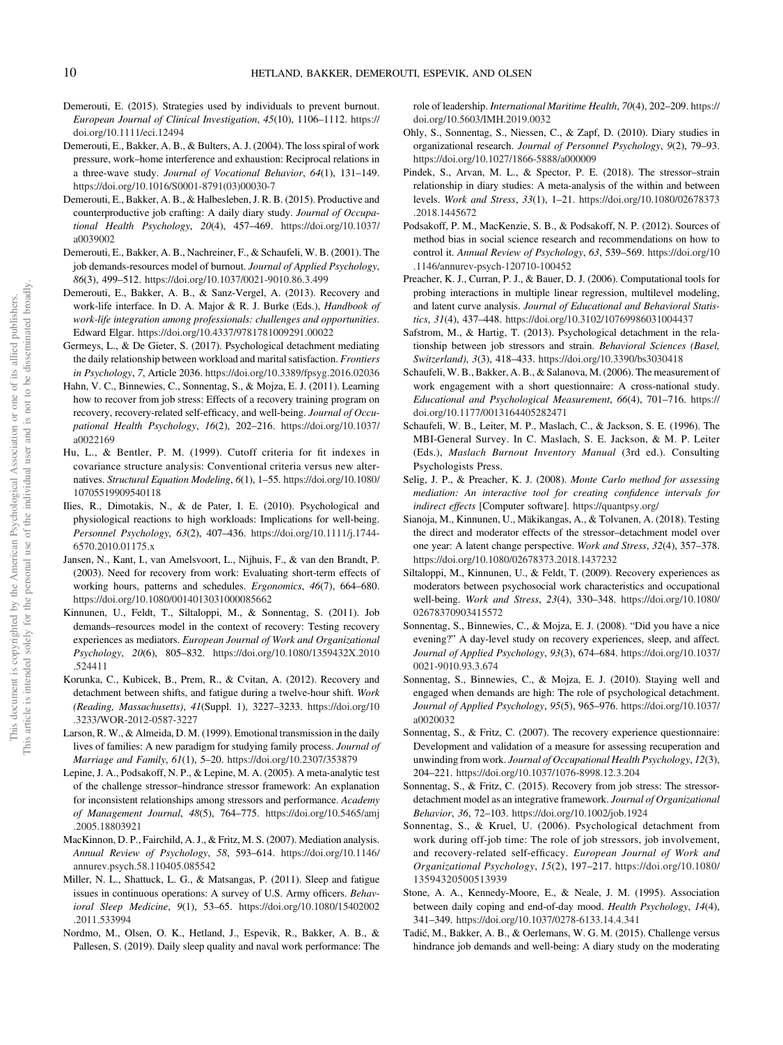- Demerouti, E. (2015). Strategies used by individuals to prevent burnout. European Journal of Clinical Investigation, 45(10), 1106–1112. [https://](https://doi.org/10.1111/eci.12494) [doi.org/10.1111/eci.12494](https://doi.org/10.1111/eci.12494)
- Demerouti, E., Bakker, A. B., & Bulters, A. J. (2004). The loss spiral of work pressure, work–home interference and exhaustion: Reciprocal relations in a three-wave study. Journal of Vocational Behavior, 64(1), 131–149. [https://doi.org/10.1016/S0001-8791\(03\)00030-7](https://doi.org/10.1016/S0001-8791(03)00030-7)
- Demerouti, E., Bakker, A. B., & Halbesleben, J. R. B. (2015). Productive and counterproductive job crafting: A daily diary study. Journal of Occupational Health Psychology, 20(4), 457–469. [https://doi.org/10.1037/](https://doi.org/10.1037/a0039002) [a0039002](https://doi.org/10.1037/a0039002)
- Demerouti, E., Bakker, A. B., Nachreiner, F., & Schaufeli, W. B. (2001). The job demands-resources model of burnout. Journal of Applied Psychology, 86(3), 499–512. <https://doi.org/10.1037/0021-9010.86.3.499>
- Demerouti, E., Bakker, A. B., & Sanz-Vergel, A. (2013). Recovery and work-life interface. In D. A. Major & R. J. Burke (Eds.), Handbook of work-life integration among professionals: challenges and opportunities. Edward Elgar. <https://doi.org/10.4337/9781781009291.00022>
- Germeys, L., & De Gieter, S. (2017). Psychological detachment mediating the daily relationship between workload and marital satisfaction. Frontiers in Psychology, 7, Article 2036. <https://doi.org/10.3389/fpsyg.2016.02036>
- Hahn, V. C., Binnewies, C., Sonnentag, S., & Mojza, E. J. (2011). Learning how to recover from job stress: Effects of a recovery training program on recovery, recovery-related self-efficacy, and well-being. Journal of Occupational Health Psychology, 16(2), 202–216. [https://doi.org/10.1037/](https://doi.org/10.1037/a0022169) [a0022169](https://doi.org/10.1037/a0022169)
- Hu, L., & Bentler, P. M. (1999). Cutoff criteria for fit indexes in covariance structure analysis: Conventional criteria versus new alternatives. Structural Equation Modeling, 6(1), 1–55. [https://doi.org/10.1080/](https://doi.org/10.1080/10705519909540118) [10705519909540118](https://doi.org/10.1080/10705519909540118)
- Ilies, R., Dimotakis, N., & de Pater, I. E. (2010). Psychological and physiological reactions to high workloads: Implications for well-being.<br>https://www.physiological reactions to high workloads: Implications for well-being. Personnel Psychology, 63(2), 407–436. [https://doi.org/10.1111/j.1744-](https://doi.org/10.1111/j.1744-6570.2010.01175.x) [6570.2010.01175.x](https://doi.org/10.1111/j.1744-6570.2010.01175.x)
- Jansen, N., Kant, I., van Amelsvoort, L., Nijhuis, F., & van den Brandt, P. (2003). Need for recovery from work: Evaluating short-term effects of working hours, patterns and schedules. Ergonomics, 46(7), 664–680. <https://doi.org/10.1080/0014013031000085662>
- Kinnunen, U., Feldt, T., Siltaloppi, M., & Sonnentag, S. (2011). Job demands–resources model in the context of recovery: Testing recovery experiences as mediators. European Journal of Work and Organizational Psychology, 20(6), 805–832. [https://doi.org/10.1080/1359432X.2010](https://doi.org/10.1080/1359432X.2010.524411) [.524411](https://doi.org/10.1080/1359432X.2010.524411)
- Korunka, C., Kubicek, B., Prem, R., & Cvitan, A. (2012). Recovery and detachment between shifts, and fatigue during a twelve-hour shift. Work (Reading, Massachusetts), 41(Suppl. 1), 3227–3233. [https://doi.org/10](https://doi.org/10.3233/WOR-2012-0587-3227) [.3233/WOR-2012-0587-3227](https://doi.org/10.3233/WOR-2012-0587-3227)
- Larson, R. W., & Almeida, D. M. (1999). Emotional transmission in the daily lives of families: A new paradigm for studying family process. Journal of Marriage and Family, 61(1), 5–20. <https://doi.org/10.2307/353879>
- Lepine, J. A., Podsakoff, N. P., & Lepine, M. A. (2005). A meta-analytic test of the challenge stressor–hindrance stressor framework: An explanation for inconsistent relationships among stressors and performance. Academy of Management Journal, 48(5), 764–775. [https://doi.org/10.5465/amj](https://doi.org/10.5465/amj.2005.18803921) [.2005.18803921](https://doi.org/10.5465/amj.2005.18803921)
- MacKinnon, D. P., Fairchild, A. J., & Fritz, M. S. (2007). Mediation analysis. Annual Review of Psychology, 58, 593–614. [https://doi.org/10.1146/](https://doi.org/10.1146/annurev.psych.58.110405.085542) [annurev.psych.58.110405.085542](https://doi.org/10.1146/annurev.psych.58.110405.085542)
- Miller, N. L., Shattuck, L. G., & Matsangas, P. (2011). Sleep and fatigue issues in continuous operations: A survey of U.S. Army officers. Behavioral Sleep Medicine, 9(1), 53–65. [https://doi.org/10.1080/15402002](https://doi.org/10.1080/15402002.2011.533994) [.2011.533994](https://doi.org/10.1080/15402002.2011.533994)
- Nordmo, M., Olsen, O. K., Hetland, J., Espevik, R., Bakker, A. B., & Pallesen, S. (2019). Daily sleep quality and naval work performance: The

role of leadership. International Maritime Health, 70(4), 202–209. [https://](https://doi.org/10.5603/IMH.2019.0032) [doi.org/10.5603/IMH.2019.0032](https://doi.org/10.5603/IMH.2019.0032)

- Ohly, S., Sonnentag, S., Niessen, C., & Zapf, D. (2010). Diary studies in organizational research. Journal of Personnel Psychology, 9(2), 79–93. <https://doi.org/10.1027/1866-5888/a000009>
- Pindek, S., Arvan, M. L., & Spector, P. E. (2018). The stressor–strain relationship in diary studies: A meta-analysis of the within and between levels. Work and Stress, 33(1), 1–21. [https://doi.org/10.1080/02678373](https://doi.org/10.1080/02678373.2018.1445672) [.2018.1445672](https://doi.org/10.1080/02678373.2018.1445672)
- Podsakoff, P. M., MacKenzie, S. B., & Podsakoff, N. P. (2012). Sources of method bias in social science research and recommendations on how to control it. Annual Review of Psychology, 63, 539–569. [https://doi.org/10](https://doi.org/10.1146/annurev-psych-120710-100452) [.1146/annurev-psych-120710-100452](https://doi.org/10.1146/annurev-psych-120710-100452)
- Preacher, K. J., Curran, P. J., & Bauer, D. J. (2006). Computational tools for probing interactions in multiple linear regression, multilevel modeling, and latent curve analysis. Journal of Educational and Behavioral Statistics, 31(4), 437–448. <https://doi.org/10.3102/10769986031004437>
- Safstrom, M., & Hartig, T. (2013). Psychological detachment in the relationship between job stressors and strain. Behavioral Sciences (Basel, Switzerland), 3(3), 418–433. <https://doi.org/10.3390/bs3030418>
- Schaufeli, W. B., Bakker, A. B., & Salanova, M. (2006). The measurement of work engagement with a short questionnaire: A cross-national study. Educational and Psychological Measurement, 66(4), 701–716. [https://](https://doi.org/10.1177/0013164405282471) [doi.org/10.1177/0013164405282471](https://doi.org/10.1177/0013164405282471)
- Schaufeli, W. B., Leiter, M. P., Maslach, C., & Jackson, S. E. (1996). The MBI-General Survey. In C. Maslach, S. E. Jackson, & M. P. Leiter (Eds.), Maslach Burnout Inventory Manual (3rd ed.). Consulting Psychologists Press.
- Selig, J. P., & Preacher, K. J. (2008). Monte Carlo method for assessing mediation: An interactive tool for creating confidence intervals for indirect effects [Computer software]. [https://quantpsy.org/](http://quantpsy.org/)
- Sianoja, M., Kinnunen, U., Mäkikangas, A., & Tolvanen, A. (2018). Testing the direct and moderator effects of the stressor–detachment model over one year: A latent change perspective. Work and Stress, 32(4), 357–378. <https://doi.org/10.1080/02678373.2018.1437232>
- Siltaloppi, M., Kinnunen, U., & Feldt, T. (2009). Recovery experiences as moderators between psychosocial work characteristics and occupational well-being. Work and Stress, 23(4), 330–348. [https://doi.org/10.1080/](https://doi.org/10.1080/02678370903415572) [02678370903415572](https://doi.org/10.1080/02678370903415572)
- Sonnentag, S., Binnewies, C., & Mojza, E. J. (2008). "Did you have a nice evening?" A day-level study on recovery experiences, sleep, and affect. Journal of Applied Psychology, 93(3), 674–684. [https://doi.org/10.1037/](https://doi.org/10.1037/0021-9010.93.3.674) [0021-9010.93.3.674](https://doi.org/10.1037/0021-9010.93.3.674)
- Sonnentag, S., Binnewies, C., & Mojza, E. J. (2010). Staying well and engaged when demands are high: The role of psychological detachment. Journal of Applied Psychology, 95(5), 965–976. [https://doi.org/10.1037/](https://doi.org/10.1037/a0020032) [a0020032](https://doi.org/10.1037/a0020032)
- Sonnentag, S., & Fritz, C. (2007). The recovery experience questionnaire: Development and validation of a measure for assessing recuperation and unwinding from work. Journal of Occupational Health Psychology, 12(3), 204–221. <https://doi.org/10.1037/1076-8998.12.3.204>
- Sonnentag, S., & Fritz, C. (2015). Recovery from job stress: The stressordetachment model as an integrative framework. Journal of Organizational Behavior, 36, 72–103. <https://doi.org/10.1002/job.1924>
- Sonnentag, S., & Kruel, U. (2006). Psychological detachment from work during off-job time: The role of job stressors, job involvement, and recovery-related self-efficacy. European Journal of Work and Organizational Psychology, 15(2), 197–217. [https://doi.org/10.1080/](https://doi.org/10.1080/13594320500513939) [13594320500513939](https://doi.org/10.1080/13594320500513939)
- Stone, A. A., Kennedy-Moore, E., & Neale, J. M. (1995). Association between daily coping and end-of-day mood. Health Psychology, 14(4), 341–349. <https://doi.org/10.1037/0278-6133.14.4.341>
- Tadić, M., Bakker, A. B., & Oerlemans, W. G. M. (2015). Challenge versus  $341-349$ . https://doi.org/10.1037/0278-6133.14.4.341<br>dić, M., Bakker, A. B., & Oerlemans, W. G. M. (2015). Challenge versus<br>hindrance job demands and well-being: A diary study on the moderating